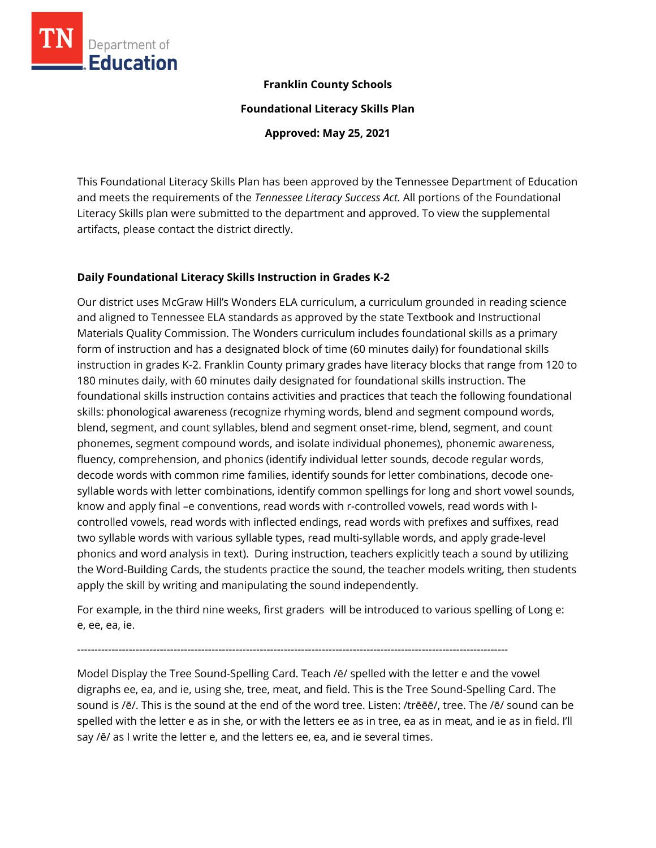

### **Franklin County Schools**

**Foundational Literacy Skills Plan**

**Approved: May 25, 2021**

This Foundational Literacy Skills Plan has been approved by the Tennessee Department of Education and meets the requirements of the *Tennessee Literacy Success Act.* All portions of the Foundational Literacy Skills plan were submitted to the department and approved. To view the supplemental artifacts, please contact the district directly.

### **Daily Foundational Literacy Skills Instruction in Grades K-2**

Our district uses McGraw Hill's Wonders ELA curriculum, a curriculum grounded in reading science and aligned to Tennessee ELA standards as approved by the state Textbook and Instructional Materials Quality Commission. The Wonders curriculum includes foundational skills as a primary form of instruction and has a designated block of time (60 minutes daily) for foundational skills instruction in grades K-2. Franklin County primary grades have literacy blocks that range from 120 to 180 minutes daily, with 60 minutes daily designated for foundational skills instruction. The foundational skills instruction contains activities and practices that teach the following foundational skills: phonological awareness (recognize rhyming words, blend and segment compound words, blend, segment, and count syllables, blend and segment onset-rime, blend, segment, and count phonemes, segment compound words, and isolate individual phonemes), phonemic awareness, fluency, comprehension, and phonics (identify individual letter sounds, decode regular words, decode words with common rime families, identify sounds for letter combinations, decode onesyllable words with letter combinations, identify common spellings for long and short vowel sounds, know and apply final –e conventions, read words with r-controlled vowels, read words with Icontrolled vowels, read words with inflected endings, read words with prefixes and suffixes, read two syllable words with various syllable types, read multi-syllable words, and apply grade-level phonics and word analysis in text). During instruction, teachers explicitly teach a sound by utilizing the Word-Building Cards, the students practice the sound, the teacher models writing, then students apply the skill by writing and manipulating the sound independently.

For example, in the third nine weeks, first graders will be introduced to various spelling of Long e: e, ee, ea, ie.

-----------------------------------------------------------------------------------------------------------------------------

Model Display the Tree Sound-Spelling Card. Teach /ē/ spelled with the letter e and the vowel digraphs ee, ea, and ie, using she, tree, meat, and field. This is the Tree Sound-Spelling Card. The sound is /ē/. This is the sound at the end of the word tree. Listen: /trēēē/, tree. The /ē/ sound can be spelled with the letter e as in she, or with the letters ee as in tree, ea as in meat, and ie as in field. I'll say /ē/ as I write the letter e, and the letters ee, ea, and ie several times.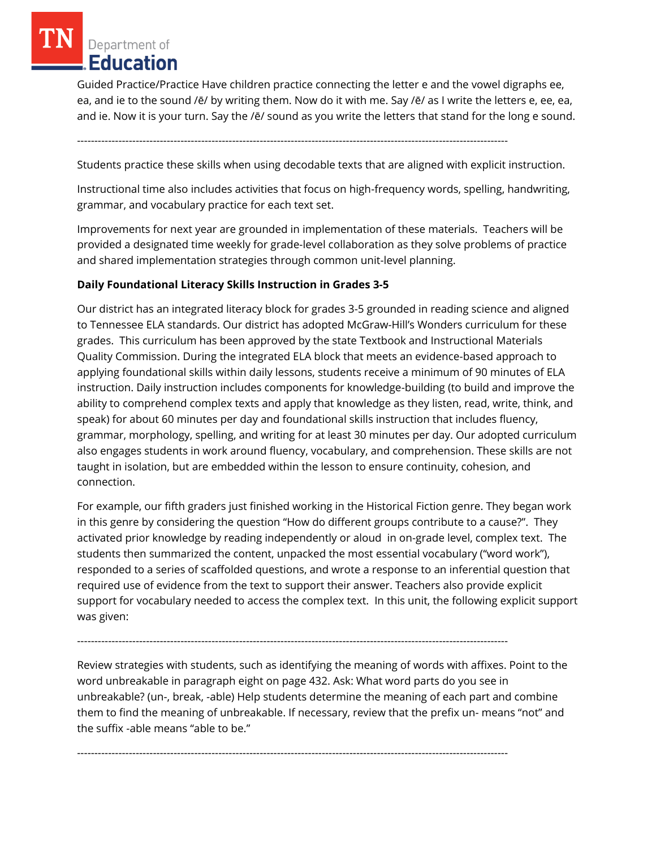Guided Practice/Practice Have children practice connecting the letter e and the vowel digraphs ee, ea, and ie to the sound /ē/ by writing them. Now do it with me. Say /ē/ as I write the letters e, ee, ea, and ie. Now it is your turn. Say the /ē/ sound as you write the letters that stand for the long e sound.

-----------------------------------------------------------------------------------------------------------------------------

Students practice these skills when using decodable texts that are aligned with explicit instruction.

Instructional time also includes activities that focus on high-frequency words, spelling, handwriting, grammar, and vocabulary practice for each text set.

Improvements for next year are grounded in implementation of these materials. Teachers will be provided a designated time weekly for grade-level collaboration as they solve problems of practice and shared implementation strategies through common unit-level planning.

#### **Daily Foundational Literacy Skills Instruction in Grades 3-5**

Our district has an integrated literacy block for grades 3-5 grounded in reading science and aligned to Tennessee ELA standards. Our district has adopted McGraw-Hill's Wonders curriculum for these grades. This curriculum has been approved by the state Textbook and Instructional Materials Quality Commission. During the integrated ELA block that meets an evidence-based approach to applying foundational skills within daily lessons, students receive a minimum of 90 minutes of ELA instruction. Daily instruction includes components for knowledge-building (to build and improve the ability to comprehend complex texts and apply that knowledge as they listen, read, write, think, and speak) for about 60 minutes per day and foundational skills instruction that includes fluency, grammar, morphology, spelling, and writing for at least 30 minutes per day. Our adopted curriculum also engages students in work around fluency, vocabulary, and comprehension. These skills are not taught in isolation, but are embedded within the lesson to ensure continuity, cohesion, and connection.

For example, our fifth graders just finished working in the Historical Fiction genre. They began work in this genre by considering the question "How do different groups contribute to a cause?". They activated prior knowledge by reading independently or aloud in on-grade level, complex text. The students then summarized the content, unpacked the most essential vocabulary ("word work"), responded to a series of scaffolded questions, and wrote a response to an inferential question that required use of evidence from the text to support their answer. Teachers also provide explicit support for vocabulary needed to access the complex text. In this unit, the following explicit support was given:

Review strategies with students, such as identifying the meaning of words with affixes. Point to the word unbreakable in paragraph eight on page 432. Ask: What word parts do you see in unbreakable? (un-, break, -able) Help students determine the meaning of each part and combine them to find the meaning of unbreakable. If necessary, review that the prefix un- means "not" and the suffix -able means "able to be."

-----------------------------------------------------------------------------------------------------------------------------

-----------------------------------------------------------------------------------------------------------------------------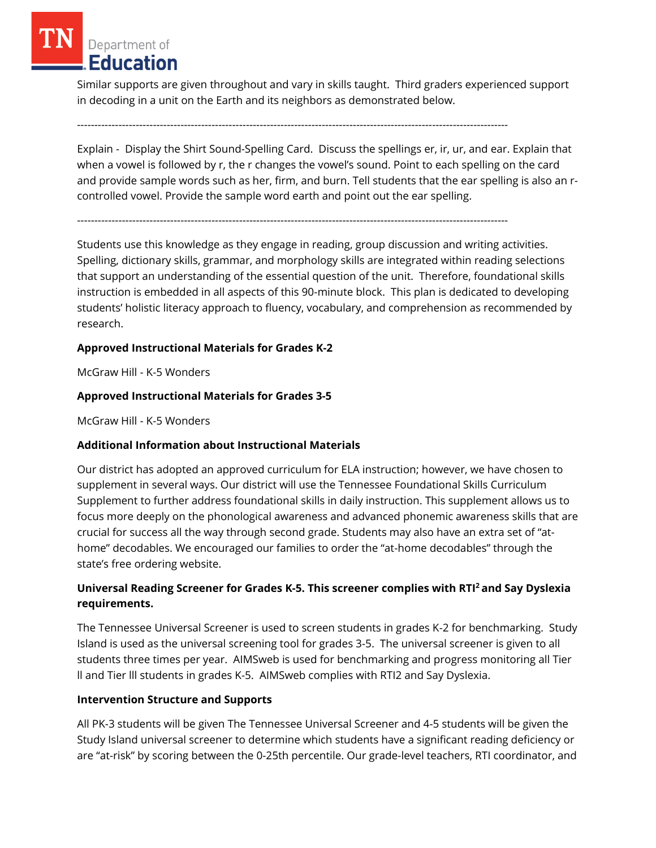Similar supports are given throughout and vary in skills taught. Third graders experienced support in decoding in a unit on the Earth and its neighbors as demonstrated below.

-----------------------------------------------------------------------------------------------------------------------------

Explain - Display the Shirt Sound-Spelling Card. Discuss the spellings er, ir, ur, and ear. Explain that when a vowel is followed by r, the r changes the vowel's sound. Point to each spelling on the card and provide sample words such as her, firm, and burn. Tell students that the ear spelling is also an rcontrolled vowel. Provide the sample word earth and point out the ear spelling.

-----------------------------------------------------------------------------------------------------------------------------

Students use this knowledge as they engage in reading, group discussion and writing activities. Spelling, dictionary skills, grammar, and morphology skills are integrated within reading selections that support an understanding of the essential question of the unit. Therefore, foundational skills instruction is embedded in all aspects of this 90-minute block. This plan is dedicated to developing students' holistic literacy approach to fluency, vocabulary, and comprehension as recommended by research.

## **Approved Instructional Materials for Grades K-2**

McGraw Hill - K-5 Wonders

## **Approved Instructional Materials for Grades 3-5**

McGraw Hill - K-5 Wonders

## **Additional Information about Instructional Materials**

Our district has adopted an approved curriculum for ELA instruction; however, we have chosen to supplement in several ways. Our district will use the Tennessee Foundational Skills Curriculum Supplement to further address foundational skills in daily instruction. This supplement allows us to focus more deeply on the phonological awareness and advanced phonemic awareness skills that are crucial for success all the way through second grade. Students may also have an extra set of "athome" decodables. We encouraged our families to order the "at-home decodables" through the state's free ordering website.

## **Universal Reading Screener for Grades K-5. This screener complies with RTI<sup>2</sup>and Say Dyslexia requirements.**

The Tennessee Universal Screener is used to screen students in grades K-2 for benchmarking. Study Island is used as the universal screening tool for grades 3-5. The universal screener is given to all students three times per year. AIMSweb is used for benchmarking and progress monitoring all Tier ll and Tier lll students in grades K-5. AIMSweb complies with RTI2 and Say Dyslexia.

### **Intervention Structure and Supports**

All PK-3 students will be given The Tennessee Universal Screener and 4-5 students will be given the Study Island universal screener to determine which students have a significant reading deficiency or are "at-risk" by scoring between the 0-25th percentile. Our grade-level teachers, RTI coordinator, and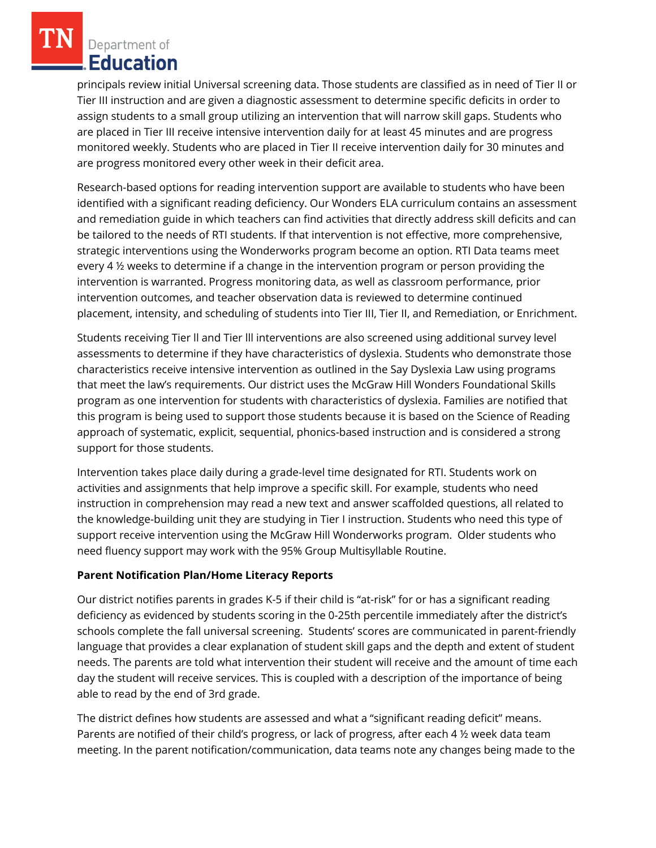principals review initial Universal screening data. Those students are classified as in need of Tier II or Tier III instruction and are given a diagnostic assessment to determine specific deficits in order to assign students to a small group utilizing an intervention that will narrow skill gaps. Students who are placed in Tier III receive intensive intervention daily for at least 45 minutes and are progress monitored weekly. Students who are placed in Tier II receive intervention daily for 30 minutes and are progress monitored every other week in their deficit area.

Research-based options for reading intervention support are available to students who have been identified with a significant reading deficiency. Our Wonders ELA curriculum contains an assessment and remediation guide in which teachers can find activities that directly address skill deficits and can be tailored to the needs of RTI students. If that intervention is not effective, more comprehensive, strategic interventions using the Wonderworks program become an option. RTI Data teams meet every 4 ½ weeks to determine if a change in the intervention program or person providing the intervention is warranted. Progress monitoring data, as well as classroom performance, prior intervention outcomes, and teacher observation data is reviewed to determine continued placement, intensity, and scheduling of students into Tier III, Tier II, and Remediation, or Enrichment.

Students receiving Tier ll and Tier lll interventions are also screened using additional survey level assessments to determine if they have characteristics of dyslexia. Students who demonstrate those characteristics receive intensive intervention as outlined in the Say Dyslexia Law using programs that meet the law's requirements. Our district uses the McGraw Hill Wonders Foundational Skills program as one intervention for students with characteristics of dyslexia. Families are notified that this program is being used to support those students because it is based on the Science of Reading approach of systematic, explicit, sequential, phonics-based instruction and is considered a strong support for those students.

Intervention takes place daily during a grade-level time designated for RTI. Students work on activities and assignments that help improve a specific skill. For example, students who need instruction in comprehension may read a new text and answer scaffolded questions, all related to the knowledge-building unit they are studying in Tier I instruction. Students who need this type of support receive intervention using the McGraw Hill Wonderworks program. Older students who need fluency support may work with the 95% Group Multisyllable Routine.

### **Parent Notification Plan/Home Literacy Reports**

Our district notifies parents in grades K-5 if their child is "at-risk" for or has a significant reading deficiency as evidenced by students scoring in the 0-25th percentile immediately after the district's schools complete the fall universal screening. Students' scores are communicated in parent-friendly language that provides a clear explanation of student skill gaps and the depth and extent of student needs. The parents are told what intervention their student will receive and the amount of time each day the student will receive services. This is coupled with a description of the importance of being able to read by the end of 3rd grade.

The district defines how students are assessed and what a "significant reading deficit" means. Parents are notified of their child's progress, or lack of progress, after each 4 ½ week data team meeting. In the parent notification/communication, data teams note any changes being made to the